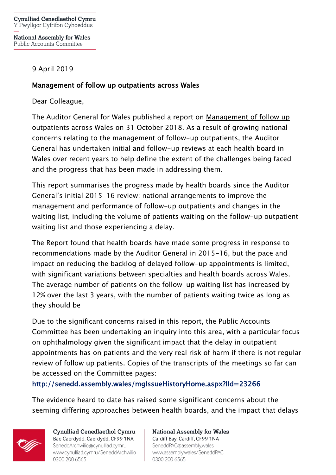**National Assembly for Wales Public Accounts Committee** 

## 9 April 2019

## Management of follow up outpatients across Wales

Dear Colleague,

The Auditor General for Wales published a report on [Management of follow up](http://www.audit.wales/system/files/publications/managing-follow-up-outpatients-english.pdf)  [outpatients across Wales](http://www.audit.wales/system/files/publications/managing-follow-up-outpatients-english.pdf) on 31 October 2018. As a result of growing national concerns relating to the management of follow-up outpatients, the Auditor General has undertaken initial and follow-up reviews at each health board in Wales over recent years to help define the extent of the challenges being faced and the progress that has been made in addressing them.

This report summarises the progress made by health boards since the Auditor General's initial 2015-16 review; national arrangements to improve the management and performance of follow-up outpatients and changes in the waiting list, including the volume of patients waiting on the follow-up outpatient waiting list and those experiencing a delay.

The Report found that health boards have made some progress in response to recommendations made by the Auditor General in 2015-16, but the pace and impact on reducing the backlog of delayed follow-up appointments is limited, with significant variations between specialties and health boards across Wales. The average number of patients on the follow-up waiting list has increased by 12% over the last 3 years, with the number of patients waiting twice as long as they should be

Due to the significant concerns raised in this report, the Public Accounts Committee has been undertaking an inquiry into this area, with a particular focus on ophthalmology given the significant impact that the delay in outpatient appointments has on patients and the very real risk of harm if there is not regular review of follow up patients. Copies of the transcripts of the meetings so far can be accessed on the Committee pages:

<http://senedd.assembly.wales/mgIssueHistoryHome.aspx?IId=23266>

The evidence heard to date has raised some significant concerns about the seeming differing approaches between health boards, and the impact that delays



Cynulliad Cenedlaethol Cymru Bae Caerdydd, Caerdydd, CF99 1NA SeneddArchwilio@cynulliad.cymru www.cynulliad.cymru/SeneddArchwilio 0300 200 6565

**National Assembly for Wales** Cardiff Bay, Cardiff, CF99 1NA SeneddPAC@assembly.wales www.assembly.wales/SeneddPAC 0300 200 6565